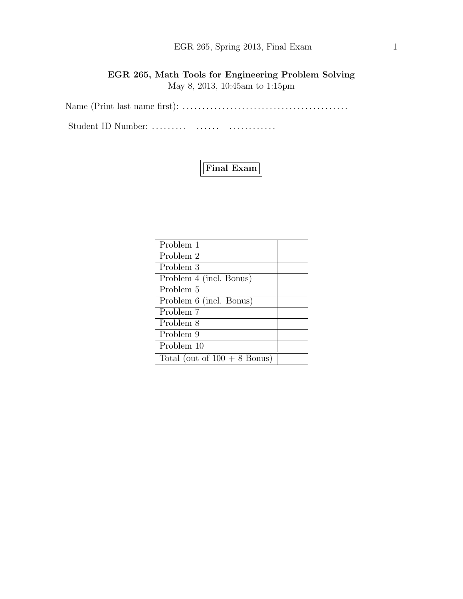# EGR 265, Spring 2013, Final Exam 1

# EGR 265, Math Tools for Engineering Problem Solving May 8, 2013, 10:45am to 1:15pm

Name (Print last name first): . . . . . . . . . . . . . . . . . . . . . . . . . . . . . . . . . . . . . . . . . .

Student ID Number: . . . . . . . . . . . . . . . . . . . . . . . . . . .



| Problem 1                      |  |
|--------------------------------|--|
| Problem 2                      |  |
| Problem 3                      |  |
| Problem 4 (incl. Bonus)        |  |
| Problem 5                      |  |
| Problem 6 (incl. Bonus)        |  |
| Problem 7                      |  |
| Problem 8                      |  |
| Problem 9                      |  |
| Problem 10                     |  |
| Total (out of $100 + 8$ Bonus) |  |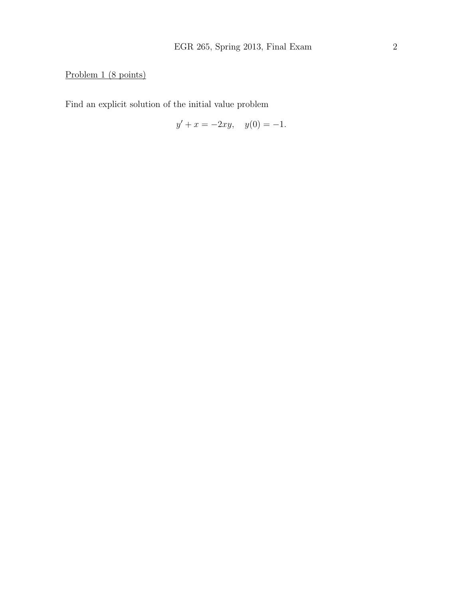# Problem 1 (8 points)

Find an explicit solution of the initial value problem

$$
y' + x = -2xy, \quad y(0) = -1.
$$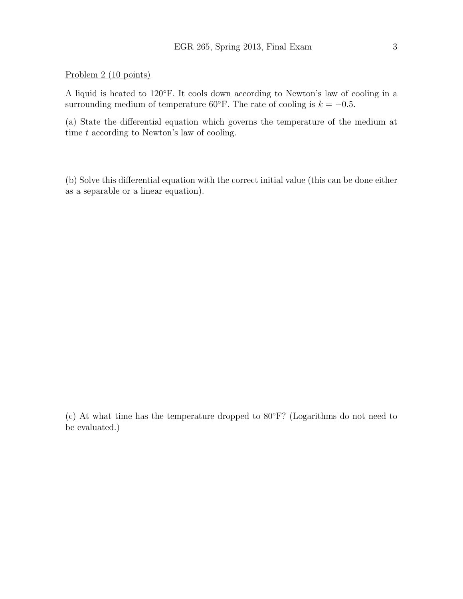#### Problem 2 (10 points)

A liquid is heated to 120◦F. It cools down according to Newton's law of cooling in a surrounding medium of temperature 60°F. The rate of cooling is  $k = -0.5$ .

(a) State the differential equation which governs the temperature of the medium at time  $t$  according to Newton's law of cooling.

(b) Solve this differential equation with the correct initial value (this can be done either as a separable or a linear equation).

(c) At what time has the temperature dropped to 80◦F? (Logarithms do not need to be evaluated.)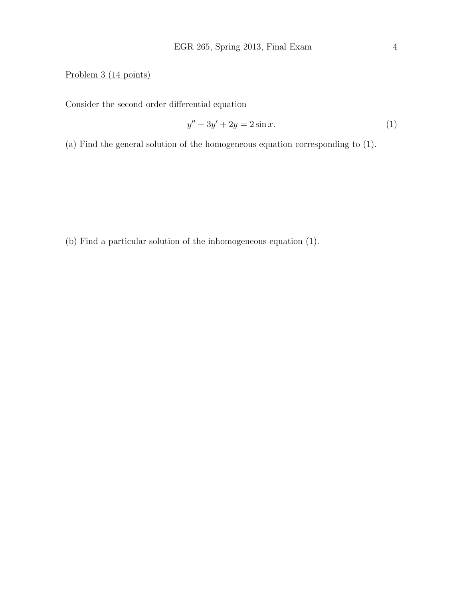### Problem 3 (14 points)

Consider the second order differential equation

$$
y'' - 3y' + 2y = 2\sin x.
$$
 (1)

(a) Find the general solution of the homogeneous equation corresponding to (1).

(b) Find a particular solution of the inhomogeneous equation (1).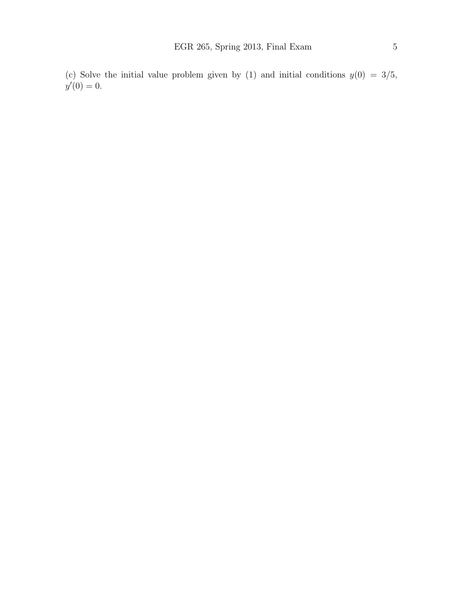(c) Solve the initial value problem given by (1) and initial conditions  $y(0) = 3/5$ ,  $y'(0) = 0.$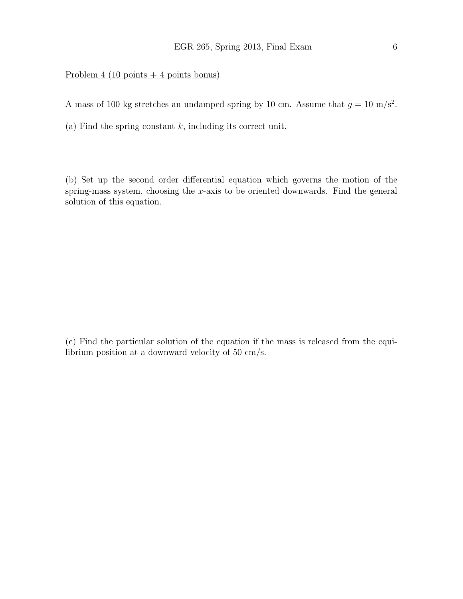### Problem 4 (10 points  $+ 4$  points bonus)

A mass of 100 kg stretches an undamped spring by 10 cm. Assume that  $g = 10 \text{ m/s}^2$ .

(a) Find the spring constant  $k$ , including its correct unit.

(b) Set up the second order differential equation which governs the motion of the spring-mass system, choosing the x-axis to be oriented downwards. Find the general solution of this equation.

(c) Find the particular solution of the equation if the mass is released from the equilibrium position at a downward velocity of 50 cm/s.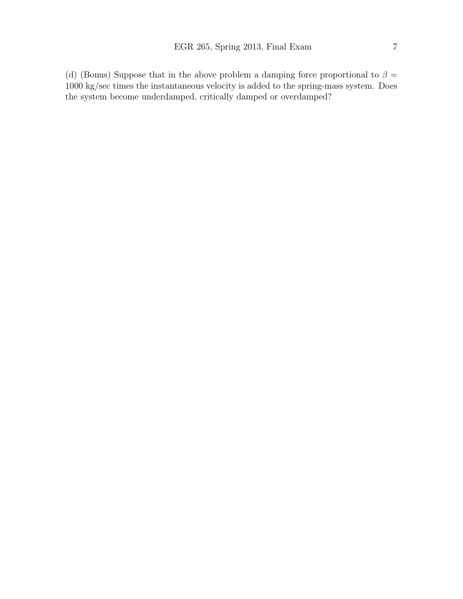(d) (Bonus) Suppose that in the above problem a damping force proportional to  $\beta =$ 1000 kg/sec times the instantaneous velocity is added to the spring-mass system. Does the system become underdamped, critically damped or overdamped?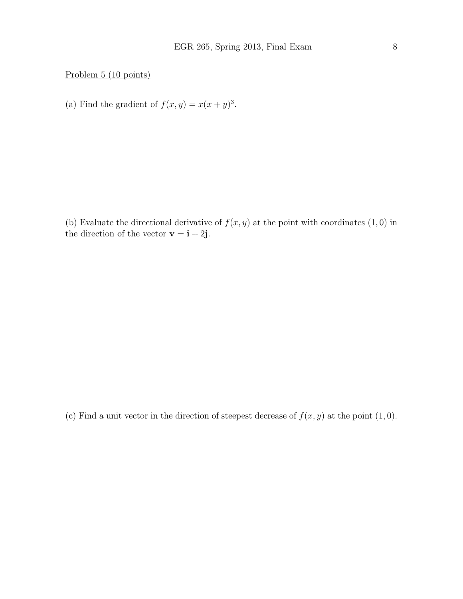Problem 5 (10 points)

(a) Find the gradient of  $f(x, y) = x(x + y)^3$ .

(b) Evaluate the directional derivative of  $f(x, y)$  at the point with coordinates  $(1, 0)$  in the direction of the vector  $\mathbf{v} = \mathbf{i} + 2\mathbf{j}$ .

(c) Find a unit vector in the direction of steepest decrease of  $f(x, y)$  at the point  $(1, 0)$ .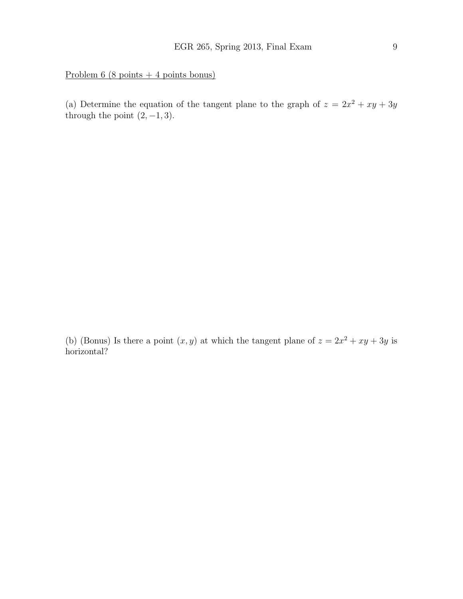Problem 6 (8 points + 4 points bonus)

(a) Determine the equation of the tangent plane to the graph of  $z = 2x^2 + xy + 3y$ through the point  $(2, -1, 3)$ .

(b) (Bonus) Is there a point  $(x, y)$  at which the tangent plane of  $z = 2x^2 + xy + 3y$  is horizontal?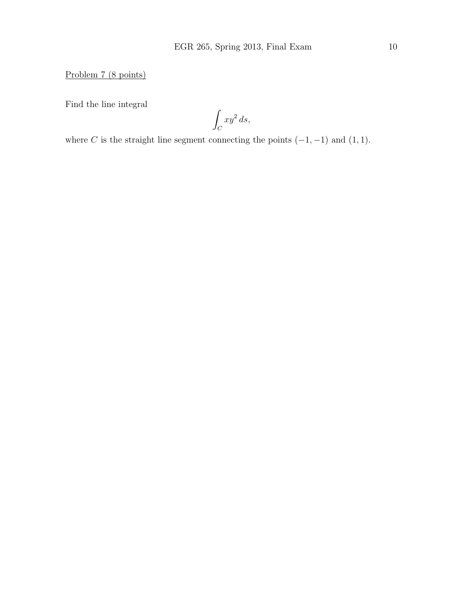Problem 7 (8 points)

Find the line integral

Z  $\mathcal{C}_{0}^{0}$  $xy^2 ds$ ,

where C is the straight line segment connecting the points  $(-1, -1)$  and  $(1, 1)$ .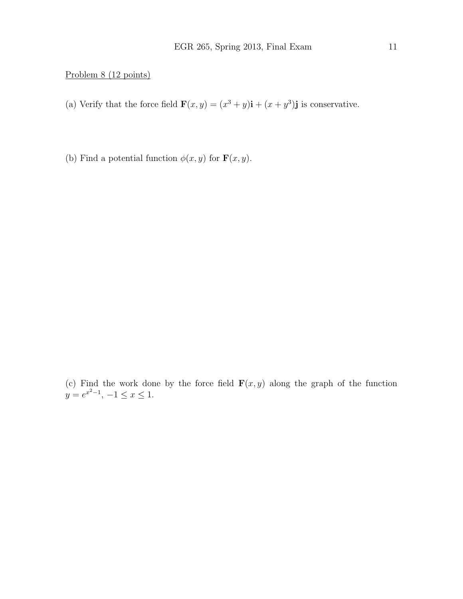### Problem 8 (12 points)

- (a) Verify that the force field  $\mathbf{F}(x, y) = (x^3 + y)\mathbf{i} + (x + y^3)\mathbf{j}$  is conservative.
- (b) Find a potential function  $\phi(x, y)$  for  $\mathbf{F}(x, y)$ .

(c) Find the work done by the force field  $\mathbf{F}(x, y)$  along the graph of the function  $y = e^{x^2-1}, -1 \le x \le 1.$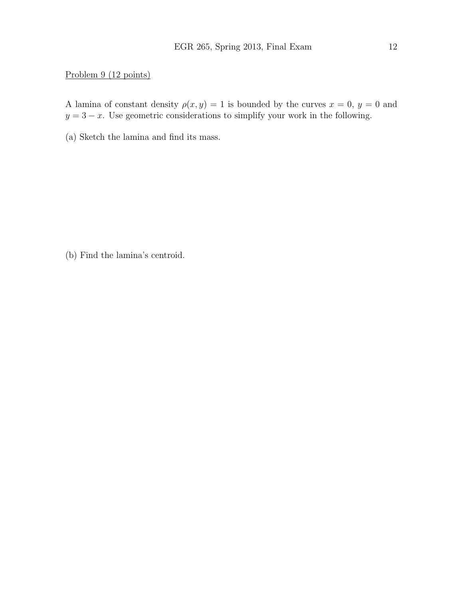### Problem 9 (12 points)

A lamina of constant density  $\rho(x, y) = 1$  is bounded by the curves  $x = 0, y = 0$  and  $y = 3 - x$ . Use geometric considerations to simplify your work in the following.

(a) Sketch the lamina and find its mass.

(b) Find the lamina's centroid.